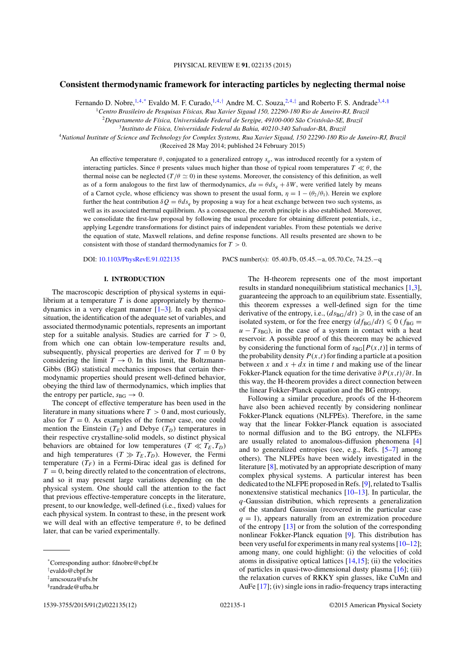PHYSICAL REVIEW E **91**, 022135 (2015)

# **Consistent thermodynamic framework for interacting particles by neglecting thermal noise**

Fernando D. Nobre,  $^{1,4,*}$  Evaldo M. F. Curado,  $^{1,4,*}$  Andre M. C. Souza,  $^{2,4,*}$  and Roberto F. S. Andrade<sup>3,4,§</sup>

<sup>1</sup>*Centro Brasileiro de Pesquisas F´ısicas, Rua Xavier Sigaud 150, 22290-180 Rio de Janeiro-RJ, Brazil*

<sup>2</sup>Departamento de Física, Universidade Federal de Sergipe, 49100-000 São Cristóvão-SE, Brazil

<sup>3</sup>*Instituto de F´ısica, Universidade Federal da Bahia, 40210-340 Salvador-BA, Brazil*

<sup>4</sup>*National Institute of Science and Technology for Complex Systems, Rua Xavier Sigaud, 150 22290-180 Rio de Janeiro-RJ, Brazil*

(Received 28 May 2014; published 24 February 2015)

An effective temperature  $\theta$ , conjugated to a generalized entropy  $s_q$ , was introduced recently for a system of interacting particles. Since  $\theta$  presents values much higher than those of typical room temperatures  $T \ll \theta$ , the thermal noise can be neglected ( $T/\theta \simeq 0$ ) in these systems. Moreover, the consistency of this definition, as well as of a form analogous to the first law of thermodynamics,  $du = \theta ds_a + \delta W$ , were verified lately by means of a Carnot cycle, whose efficiency was shown to present the usual form,  $\eta = 1 - (\theta_2/\theta_1)$ . Herein we explore further the heat contribution  $\delta Q = \theta ds_a$  by proposing a way for a heat exchange between two such systems, as well as its associated thermal equilibrium. As a consequence, the zeroth principle is also established. Moreover, we consolidate the first-law proposal by following the usual procedure for obtaining different potentials, i.e., applying Legendre transformations for distinct pairs of independent variables. From these potentials we derive the equation of state, Maxwell relations, and define response functions. All results presented are shown to be consistent with those of standard thermodynamics for  $T > 0$ .

DOI: 10.1103/PhysRevE.91.022135 PACS number(s): 05.40.Fb, 05.45.−a, 05.70.Ce, 74.25.−q

## **I. INTRODUCTION**

The macroscopic description of physical systems in equilibrium at a temperature  $T$  is done appropriately by thermodynamics in a very elegant manner  $[1-3]$ . In each physical situation, the identification of the adequate set of variables, and associated thermodynamic potentials, represents an important step for a suitable analysis. Studies are carried for  $T > 0$ , from which one can obtain low-temperature results and, subsequently, physical properties are derived for  $T = 0$  by considering the limit  $T \rightarrow 0$ . In this limit, the Boltzmann-Gibbs (BG) statistical mechanics imposes that certain thermodynamic properties should present well-defined behavior, obeying the third law of thermodynamics, which implies that the entropy per particle,  $s_{BG} \rightarrow 0$ .

The concept of effective temperature has been used in the literature in many situations where  $T > 0$  and, most curiously, also for  $T = 0$ . As examples of the former case, one could mention the Einstein  $(T_E)$  and Debye  $(T_D)$  temperatures in their respective crystalline-solid models, so distinct physical behaviors are obtained for low temperatures ( $T \ll T_E, T_D$ ) and high temperatures ( $T \gg T_E, T_D$ ). However, the Fermi temperature  $(T_F)$  in a Fermi-Dirac ideal gas is defined for  $T = 0$ , being directly related to the concentration of electrons, and so it may present large variations depending on the physical system. One should call the attention to the fact that previous effective-temperature concepts in the literature, present, to our knowledge, well-defined (i.e., fixed) values for each physical system. In contrast to these, in the present work we will deal with an effective temperature  $\theta$ , to be defined later, that can be varied experimentally.

results in standard nonequilibrium statistical mechanics [1,3], guaranteeing the approach to an equilibrium state. Essentially, this theorem expresses a well-defined sign for the time derivative of the entropy, i.e.,  $(ds_{BG}/dt) \ge 0$ , in the case of an isolated system, or for the free energy  $\left(df_{BG}/dt\right) \leq 0$  ( $f_{BG}$  =  $u - T s_{BG}$ , in the case of a system in contact with a heat reservoir. A possible proof of this theorem may be achieved by considering the functional form of  $s_{BG}[P(x,t)]$  in terms of the probability density  $P(x,t)$  for finding a particle at a position between x and  $x + dx$  in time t and making use of the linear Fokker-Planck equation for the time derivative  $\partial P(x,t)/\partial t$ . In this way, the H-theorem provides a direct connection between the linear Fokker-Planck equation and the BG entropy.

The H-theorem represents one of the most important

Following a similar procedure, proofs of the H-theorem have also been achieved recently by considering nonlinear Fokker-Planck equations (NLFPEs). Therefore, in the same way that the linear Fokker-Planck equation is associated to normal diffusion and to the BG entropy, the NLFPEs are usually related to anomalous-diffusion phenomena [4] and to generalized entropies (see, e.g., Refs. [5–7] among others). The NLFPEs have been widely investigated in the literature [8], motivated by an appropriate description of many complex physical systems. A particular interest has been dedicated to the NLFPE proposed in Refs. [9], related to Tsallis nonextensive statistical mechanics [10–13]. In particular, the q-Gaussian distribution, which represents a generalization of the standard Gaussian (recovered in the particular case  $q = 1$ ), appears naturally from an extremization procedure of the entropy [13] or from the solution of the corresponding nonlinear Fokker-Planck equation [9]. This distribution has been very useful for experiments in many real systems  $[10-12]$ ; among many, one could highlight: (i) the velocities of cold atoms in dissipative optical lattices  $[14,15]$ ; (ii) the velocities of particles in quasi-two-dimensional dusty plasma  $[16]$ ; (iii) the relaxation curves of RKKY spin glasses, like CuMn and AuFe [17]; (iv) single ions in radio-frequency traps interacting

<sup>\*</sup>Corresponding author: fdnobre@cbpf.br

<sup>†</sup> evaldo@cbpf.br

<sup>‡</sup> amcsouza@ufs.br

<sup>§</sup>randrade@ufba.br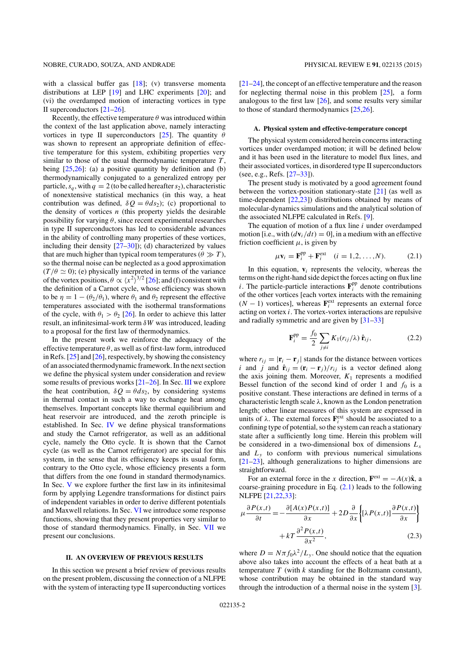with a classical buffer gas [18]; (v) transverse momenta distributions at LEP [19] and LHC experiments [20]; and (vi) the overdamped motion of interacting vortices in type II superconductors [21–26].

Recently, the effective temperature  $\theta$  was introduced within the context of the last application above, namely interacting vortices in type II superconductors [25]. The quantity  $\theta$ was shown to represent an appropriate definition of effective temperature for this system, exhibiting properties very similar to those of the usual thermodynamic temperature  $T$ . being  $[25,26]$ : (a) a positive quantity by definition and (b) thermodynamically conjugated to a generalized entropy per particle,  $s_a$ , with  $q = 2$  (to be called hereafter  $s_2$ ), characteristic of nonextensive statistical mechanics (in this way, a heat contribution was defined,  $\delta Q = \theta ds_2$ ); (c) proportional to the density of vortices  $n$  (this property yields the desirable possibility for varying  $\theta$ , since recent experimental researches in type II superconductors has led to considerable advances in the ability of controlling many properties of these vortices, including their density  $[27-30]$ ; (d) characterized by values that are much higher than typical room temperatures ( $\theta \gg T$ ), so the thermal noise can be neglected as a good approximation  $(T/\theta \simeq 0)$ ; (e) physically interpreted in terms of the variance of the vortex positions,  $\theta \propto \langle x^2 \rangle^{3/2}$  [26]; and (f) consistent with the definition of a Carnot cycle, whose efficiency was shown to be  $\eta = 1 - (\theta_2/\theta_1)$ , where  $\theta_1$  and  $\theta_2$  represent the effective temperatures associated with the isothermal transformations of the cycle, with  $\theta_1 > \theta_2$  [26]. In order to achieve this latter result, an infinitesimal-work term  $\delta W$  was introduced, leading to a proposal for the first law of thermodynamics.

In the present work we reinforce the adequacy of the effective temperature  $\theta$ , as well as of first-law form, introduced in Refs. [25] and [26], respectively, by showing the consistency of an associated thermodynamic framework. In the next section we define the physical system under consideration and review some results of previous works [21–26]. In Sec. III we explore the heat contribution,  $\delta Q = \theta ds_2$ , by considering systems in thermal contact in such a way to exchange heat among themselves. Important concepts like thermal equilibrium and heat reservoir are introduced, and the zeroth principle is established. In Sec. IV we define physical transformations and study the Carnot refrigerator, as well as an additional cycle, namely the Otto cycle. It is shown that the Carnot cycle (as well as the Carnot refrigerator) are special for this system, in the sense that its efficiency keeps its usual form, contrary to the Otto cycle, whose efficiency presents a form that differs from the one found in standard thermodynamics. In Sec. V we explore further the first law in its infinitesimal form by applying Legendre transformations for distinct pairs of independent variables in order to derive different potentials and Maxwell relations. In Sec. VI we introduce some response functions, showing that they present properties very similar to those of standard thermodynamics. Finally, in Sec. VII we present our conclusions.

### **II. AN OVERVIEW OF PREVIOUS RESULTS**

In this section we present a brief review of previous results on the present problem, discussing the connection of a NLFPE with the system of interacting type II superconducting vortices [21–24], the concept of an effective temperature and the reason for neglecting thermal noise in this problem  $[25]$ , a form analogous to the first law [26], and some results very similar to those of standard thermodynamics [25,26].

#### **A. Physical system and effective-temperature concept**

The physical system considered herein concerns interacting vortices under overdamped motion; it will be defined below and it has been used in the literature to model flux lines, and their associated vortices, in disordered type II superconductors (see, e.g., Refs. [27–33]).

The present study is motivated by a good agreement found between the vortex-position stationary-state [21] (as well as time-dependent [22,23]) distributions obtained by means of molecular-dynamics simulations and the analytical solution of the associated NLFPE calculated in Refs. [9].

The equation of motion of a flux line  $i$  under overdamped motion [i.e., with  $\left(\frac{d\mathbf{v}_i}{dt}\right) = 0$ ], in a medium with an effective friction coefficient  $\mu$ , is given by

$$
\mu \mathbf{v}_i = \mathbf{F}_i^{\text{pp}} + \mathbf{F}_i^{\text{ext}} \quad (i = 1, 2, \dots, N). \tag{2.1}
$$

In this equation,  $\mathbf{v}_i$  represents the velocity, whereas the terms on the right-hand side depict the forces acting on flux line *i*. The particle-particle interactions  $\mathbf{F}_i^{\text{pp}}$  denote contributions of the other vortices [each vortex interacts with the remaining  $(N - 1)$  vortices], whereas  $\mathbf{F}_i^{\text{ext}}$  represents an external force acting on vortex  $i$ . The vortex-vortex interactions are repulsive and radially symmetric and are given by [31–33]

$$
\mathbf{F}_{i}^{\text{pp}} = \frac{f_0}{2} \sum_{j \neq i} K_1(r_{ij}/\lambda) \,\hat{\mathbf{r}}_{ij},\tag{2.2}
$$

where  $r_{ij} = |\mathbf{r}_i - \mathbf{r}_j|$  stands for the distance between vortices *i* and *j* and  $\hat{\mathbf{r}}_{ij} = (\mathbf{r}_i - \mathbf{r}_j)/r_{ij}$  is a vector defined along the axis joining them. Moreover,  $K_1$  represents a modified Bessel function of the second kind of order 1 and  $f_0$  is a positive constant. These interactions are defined in terms of a characteristic length scale  $\lambda$ , known as the London penetration length; other linear measures of this system are expressed in units of  $\lambda$ . The external forces  $\mathbf{F}_i^{\text{ext}}$  should be associated to a confining type of potential, so the system can reach a stationary state after a sufficiently long time. Herein this problem will be considered in a two-dimensional box of dimensions  $L<sub>x</sub>$ and  $L<sub>y</sub>$  to conform with previous numerical simulations [21–23], although generalizations to higher dimensions are straightforward.

For an external force in the x direction,  $\mathbf{F}^{\text{ext}} = -A(x)\hat{\mathbf{x}}$ , a coarse-graining procedure in Eq. (2.1) leads to the following NLFPE [21,22,33]:

$$
\mu \frac{\partial P(x,t)}{\partial t} = -\frac{\partial [A(x)P(x,t)]}{\partial x} + 2D \frac{\partial}{\partial x} \left\{ [\lambda P(x,t)] \frac{\partial P(x,t)}{\partial x} \right\} + kT \frac{\partial^2 P(x,t)}{\partial x^2},
$$
\n(2.3)

where  $D = N \pi f_0 \lambda^2 / L_v$ . One should notice that the equation above also takes into account the effects of a heat bath at a temperature  $T$  (with  $k$  standing for the Boltzmann constant), whose contribution may be obtained in the standard way through the introduction of a thermal noise in the system [3].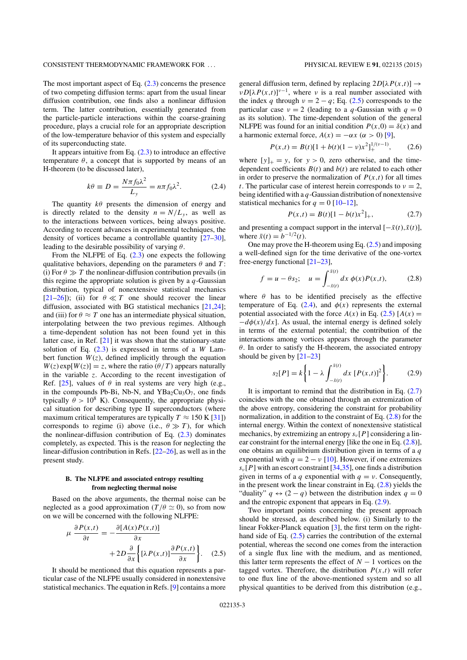The most important aspect of Eq. (2.3) concerns the presence of two competing diffusion terms: apart from the usual linear diffusion contribution, one finds also a nonlinear diffusion term. The latter contribution, essentially generated from the particle-particle interactions within the coarse-graining procedure, plays a crucial role for an appropriate description of the low-temperature behavior of this system and especially of its superconducting state.

It appears intuitive from Eq.  $(2.3)$  to introduce an effective temperature  $\theta$ , a concept that is supported by means of an H-theorem (to be discussed later),

$$
k\theta \equiv D = \frac{N\pi f_0 \lambda^2}{L_y} = n\pi f_0 \lambda^2. \tag{2.4}
$$

The quantity  $k\theta$  presents the dimension of energy and is directly related to the density  $n = N/L_v$ , as well as to the interactions between vortices, being always positive. According to recent advances in experimental techniques, the density of vortices became a controllable quantity [27–30], leading to the desirable possibility of varying  $\theta$ .

From the NLFPE of Eq. (2.3) one expects the following qualitative behaviors, depending on the parameters  $\theta$  and T: (i) For  $\theta \gg T$  the nonlinear-diffusion contribution prevails (in this regime the appropriate solution is given by a  $q$ -Gaussian distribution, typical of nonextensive statistical mechanics  $[21–26]$ ; (ii) for  $\theta \ll T$  one should recover the linear diffusion, associated with BG statistical mechanics [21,24]; and (iii) for  $\theta \approx T$  one has an intermediate physical situation, interpolating between the two previous regimes. Although a time-dependent solution has not been found yet in this latter case, in Ref. [21] it was shown that the stationary-state solution of Eq.  $(2.3)$  is expressed in terms of a W Lambert function  $W(z)$ , defined implicitly through the equation  $W(z)$  exp[ $W(z)$ ] = z, where the ratio  $(\theta/T)$  appears naturally in the variable z. According to the recent investigation of Ref. [25], values of  $\theta$  in real systems are very high (e.g., in the compounds Pb-Bi, Nb-N, and  $YBa<sub>2</sub>Cu<sub>3</sub>O<sub>7</sub>$ , one finds typically  $\theta > 10^8$  K). Consequently, the appropriate physical situation for describing type II superconductors (where maximum critical temperatures are typically  $T \approx 150 \text{ K} [31]$ corresponds to regime (i) above (i.e.,  $\theta \gg T$ ), for which the nonlinear-diffusion contribution of Eq.  $(2.3)$  dominates completely, as expected. This is the reason for neglecting the linear-diffusion contribution in Refs. [22–26], as well as in the present study.

## **B. The NLFPE and associated entropy resulting from neglecting thermal noise**

Based on the above arguments, the thermal noise can be neglected as a good approximation ( $T/\theta \simeq 0$ ), so from now on we will be concerned with the following NLFPE:

$$
\mu \frac{\partial P(x,t)}{\partial t} = -\frac{\partial [A(x)P(x,t)]}{\partial x} + 2D \frac{\partial}{\partial x} \Big\{ [\lambda P(x,t)] \frac{\partial P(x,t)}{\partial x} \Big\}. \quad (2.5)
$$

It should be mentioned that this equation represents a particular case of the NLFPE usually considered in nonextensive statistical mechanics. The equation in Refs. [9] contains a more

general diffusion term, defined by replacing  $2D[\lambda P(x,t)] \rightarrow$  $\nu D[\lambda P(x,t)]^{\nu-1}$ , where  $\nu$  is a real number associated with the index q through  $v = 2 - q$ ; Eq. (2.5) corresponds to the particular case  $v = 2$  (leading to a q-Gaussian with  $q = 0$ as its solution). The time-dependent solution of the general NLFPE was found for an initial condition  $P(x,0) = \delta(x)$  and a harmonic external force,  $A(x) = -\alpha x$  ( $\alpha > 0$ ) [9],

$$
P(x,t) = B(t)[1 + b(t)(1 - v)x^{2}]_{+}^{1/(v-1)},
$$
 (2.6)

where  $[y]_{+} = y$ , for  $y > 0$ , zero otherwise, and the timedependent coefficients  $B(t)$  and  $b(t)$  are related to each other in order to preserve the normalization of  $P(x,t)$  for all times t. The particular case of interest herein corresponds to  $\nu = 2$ , being identified with a  $q$ -Gaussian distribution of nonextensive statistical mechanics for  $q = 0$  [10–12],

$$
P(x,t) = B(t)[1 - b(t)x^{2}]_{+},
$$
\n(2.7)

and presenting a compact support in the interval  $[-\bar{x}(t),\bar{x}(t)]$ , where  $\bar{x}(t) = b^{-1/2}(t)$ .

One may prove the H-theorem using Eq. (2.5) and imposing a well-defined sign for the time derivative of the one-vortex free-energy functional [21–23],

$$
f = u - \theta s_2; \quad u = \int_{-\bar{x}(t)}^{\bar{x}(t)} dx \, \phi(x) P(x, t), \tag{2.8}
$$

where  $\theta$  has to be identified precisely as the effective temperature of Eq. (2.4), and  $\phi(x)$  represents the external potential associated with the force  $A(x)$  in Eq. (2.5)  $[A(x) =$  $-d\phi(x)/dx$ . As usual, the internal energy is defined solely in terms of the external potential; the contribution of the interactions among vortices appears through the parameter  $\theta$ . In order to satisfy the H-theorem, the associated entropy should be given by  $[21-23]$ 

$$
s_2[P] = k \left\{ 1 - \lambda \int_{-\bar{x}(t)}^{\bar{x}(t)} dx \, [P(x,t)]^2 \right\}.
$$
 (2.9)

It is important to remind that the distribution in Eq.  $(2.7)$ coincides with the one obtained through an extremization of the above entropy, considering the constraint for probability normalization, in addition to the constraint of Eq. (2.8) for the internal energy. Within the context of nonextensive statistical mechanics, by extremizing an entropy  $s_v[P]$  considering a linear constraint for the internal energy [like the one in Eq. (2.8)], one obtains an equilibrium distribution given in terms of a q exponential with  $q = 2 - v$  [10]. However, if one extremizes  $s_v[P]$  with an escort constraint [34,35], one finds a distribution given in terms of a q exponential with  $q = \nu$ . Consequently, in the present work the linear constraint in Eq. (2.8) yields the "duality"  $q \leftrightarrow (2 - q)$  between the distribution index  $q = 0$ and the entropic exponent that appears in Eq. (2.9).

Two important points concerning the present approach should be stressed, as described below. (i) Similarly to the linear Fokker-Planck equation [3], the first term on the righthand side of Eq. (2.5) carries the contribution of the external potential, whereas the second one comes from the interaction of a single flux line with the medium, and as mentioned, this latter term represents the effect of  $N - 1$  vortices on the tagged vortex. Therefore, the distribution  $P(x,t)$  will refer to one flux line of the above-mentioned system and so all physical quantities to be derived from this distribution (e.g.,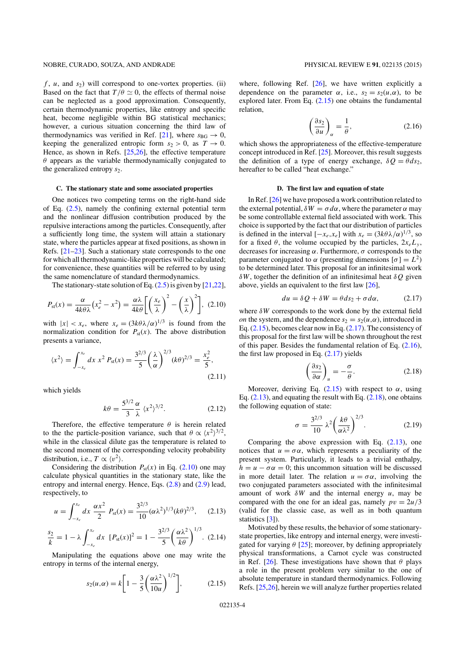$f$ ,  $u$ , and  $s_2$ ) will correspond to one-vortex properties. (ii) Based on the fact that  $T/\theta \simeq 0$ , the effects of thermal noise can be neglected as a good approximation. Consequently, certain thermodynamic properties, like entropy and specific heat, become negligible within BG statistical mechanics; however, a curious situation concerning the third law of thermodynamics was verified in Ref. [21], where  $s_{BG} \rightarrow 0$ , keeping the generalized entropic form  $s_2 > 0$ , as  $T \rightarrow 0$ . Hence, as shown in Refs. [25,26], the effective temperature  $\theta$  appears as the variable thermodynamically conjugated to the generalized entropy  $s_2$ .

## **C. The stationary state and some associated properties**

One notices two competing terms on the right-hand side of Eq. (2.5), namely the confining external potential term and the nonlinear diffusion contribution produced by the repulsive interactions among the particles. Consequently, after a sufficiently long time, the system will attain a stationary state, where the particles appear at fixed positions, as shown in Refs. [21–23]. Such a stationary state corresponds to the one for which all thermodynamic-like properties will be calculated; for convenience, these quantities will be referred to by using the same nomenclature of standard thermodynamics.

The stationary-state solution of Eq.  $(2.5)$  is given by [21,22],

$$
P_{\rm st}(x) = \frac{\alpha}{4k\theta\lambda} \left(x_e^2 - x^2\right) = \frac{\alpha\lambda}{4k\theta} \left[\left(\frac{x_e}{\lambda}\right)^2 - \left(\frac{x}{\lambda}\right)^2\right],\tag{2.10}
$$

with  $|x| < x_e$ , where  $x_e = (3k\theta\lambda/\alpha)^{1/3}$  is found from the normalization condition for  $P_{st}(x)$ . The above distribution presents a variance,

$$
\langle x^2 \rangle = \int_{-x_e}^{x_e} dx \ x^2 P_{\rm st}(x) = \frac{3^{2/3}}{5} \left(\frac{\lambda}{\alpha}\right)^{2/3} (k\theta)^{2/3} = \frac{x_e^2}{5},\tag{2.11}
$$

which yields

$$
k\theta = \frac{5^{3/2}}{3} \frac{\alpha}{\lambda} \langle x^2 \rangle^{3/2}.
$$
 (2.12)

Therefore, the effective temperature  $\theta$  is herein related to the the particle-position variance, such that  $\theta \propto \langle x^2 \rangle^{3/2}$ , while in the classical dilute gas the temperature is related to the second moment of the corresponding velocity probability distribution, i.e.,  $T \propto \langle v^2 \rangle$ .

Considering the distribution  $P_{st}(x)$  in Eq. (2.10) one may calculate physical quantities in the stationary state, like the entropy and internal energy. Hence, Eqs. (2.8) and (2.9) lead, respectively, to

$$
u = \int_{-x_e}^{x_e} dx \frac{\alpha x^2}{2} P_{\rm st}(x) = \frac{3^{2/3}}{10} (\alpha \lambda^2)^{1/3} (k \theta)^{2/3}, \quad (2.13)
$$

$$
\frac{s_2}{k} = 1 - \lambda \int_{-x_e}^{x_e} dx \, [P_{\rm st}(x)]^2 = 1 - \frac{3^{2/3}}{5} \left(\frac{\alpha \lambda^2}{k \theta}\right)^{1/3} . \tag{2.14}
$$

Manipulating the equations above one may write the entropy in terms of the internal energy,

$$
s_2(u,\alpha) = k \left[ 1 - \frac{3}{5} \left( \frac{\alpha \lambda^2}{10u} \right)^{1/2} \right],\tag{2.15}
$$

where, following Ref. [26], we have written explicitly a dependence on the parameter  $\alpha$ , i.e.,  $s_2 = s_2(u, \alpha)$ , to be explored later. From Eq. (2.15) one obtains the fundamental relation,

$$
\left(\frac{\partial s_2}{\partial u}\right)_\alpha = \frac{1}{\theta},\tag{2.16}
$$

which shows the appropriateness of the effective-temperature concept introduced in Ref. [25]. Moreover, this result suggests the definition of a type of energy exchange,  $\delta Q = \theta ds_2$ , hereafter to be called "heat exchange."

## **D. The first law and equation of state**

In Ref. [26] we have proposed a work contribution related to the external potential,  $\delta W = \sigma d\alpha$ , where the parameter  $\alpha$  may be some controllable external field associated with work. This choice is supported by the fact that our distribution of particles is defined in the interval  $[-x_e, x_e]$  with  $x_e = (3k\theta\lambda/\alpha)^{1/3}$ , so for a fixed  $\theta$ , the volume occupied by the particles,  $2x_eL_y$ , decreases for increasing  $\alpha$ . Furthermore,  $\sigma$  corresponds to the parameter conjugated to  $\alpha$  (presenting dimensions  $[\sigma] = L^2$ ) to be determined later. This proposal for an infinitesimal work  $δW$ , together the definition of an infinitesimal heat  $δQ$  given above, yields an equivalent to the first law [26],

$$
du = \delta Q + \delta W = \theta ds_2 + \sigma d\alpha, \qquad (2.17)
$$

where  $\delta W$  corresponds to the work done by the external field *on* the system, and the dependence  $s_2 = s_2(u, \alpha)$ , introduced in Eq.  $(2.15)$ , becomes clear now in Eq.  $(2.17)$ . The consistency of this proposal for the first law will be shown throughout the rest of this paper. Besides the fundamental relation of Eq. (2.16), the first law proposed in Eq.  $(2.17)$  yields

$$
\left(\frac{\partial s_2}{\partial \alpha}\right)_u = -\frac{\sigma}{\theta}.\tag{2.18}
$$

Moreover, deriving Eq. (2.15) with respect to  $\alpha$ , using Eq.  $(2.13)$ , and equating the result with Eq.  $(2.18)$ , one obtains the following equation of state:

$$
\sigma = \frac{3^{2/3}}{10} \lambda^2 \left(\frac{k\theta}{\alpha\lambda^2}\right)^{2/3}.
$$
 (2.19)

Comparing the above expression with Eq. (2.13), one notices that  $u = \sigma \alpha$ , which represents a peculiarity of the present system. Particularly, it leads to a trivial enthalpy,  $h = u - \sigma \alpha = 0$ ; this uncommon situation will be discussed in more detail later. The relation  $u = \sigma \alpha$ , involving the two conjugated parameters associated with the infinitesimal amount of work  $\delta W$  and the internal energy u, may be compared with the one for an ideal gas, namely  $pv = 2u/3$ (valid for the classic case, as well as in both quantum statistics [3]).

Motivated by these results, the behavior of some stationarystate properties, like entropy and internal energy, were investigated for varying  $\theta$  [25]; moreover, by defining appropriately physical transformations, a Carnot cycle was constructed in Ref. [26]. These investigations have shown that  $\theta$  plays a role in the present problem very similar to the one of absolute temperature in standard thermodynamics. Following Refs. [25,26], herein we will analyze further properties related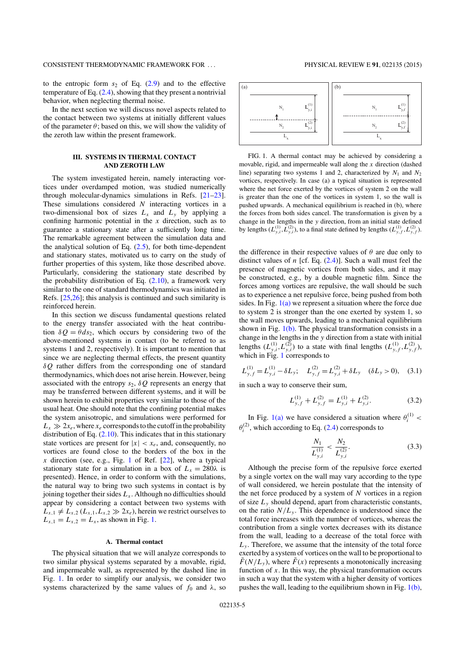## CONSISTENT THERMODYNAMIC FRAMEWORK FOR . . . PHYSICAL REVIEW E **91**, 022135 (2015)

to the entropic form  $s_2$  of Eq. (2.9) and to the effective temperature of Eq. (2.4), showing that they present a nontrivial behavior, when neglecting thermal noise.

In the next section we will discuss novel aspects related to the contact between two systems at initially different values of the parameter  $\theta$ ; based on this, we will show the validity of the zeroth law within the present framework.

## **III. SYSTEMS IN THERMAL CONTACT AND ZEROTH LAW**

The system investigated herein, namely interacting vortices under overdamped motion, was studied numerically through molecular-dynamics simulations in Refs. [21–23]. These simulations considered  $N$  interacting vortices in a two-dimensional box of sizes  $L_x$  and  $L_y$  by applying a confining harmonic potential in the  $x$  direction, such as to guarantee a stationary state after a sufficiently long time. The remarkable agreement between the simulation data and the analytical solution of Eq.  $(2.5)$ , for both time-dependent and stationary states, motivated us to carry on the study of further properties of this system, like those described above. Particularly, considering the stationary state described by the probability distribution of Eq.  $(2.10)$ , a framework very similar to the one of standard thermodynamics was initiated in Refs. [25,26]; this analysis is continued and such similarity is reinforced herein.

In this section we discuss fundamental questions related to the energy transfer associated with the heat contribution  $\delta Q = \theta ds_2$ , which occurs by considering two of the above-mentioned systems in contact (to be referred to as systems 1 and 2, respectively). It is important to mention that since we are neglecting thermal effects, the present quantity  $\delta Q$  rather differs from the corresponding one of standard thermodynamics, which does not arise herein. However, being associated with the entropy  $s_2$ ,  $\delta Q$  represents an energy that may be transferred between different systems, and it will be shown herein to exhibit properties very similar to those of the usual heat. One should note that the confining potential makes the system anisotropic, and simulations were performed for  $L_x \gg 2x_e$ , where  $x_e$  corresponds to the cutoff in the probability distribution of Eq.  $(2.10)$ . This indicates that in this stationary state vortices are present for  $|x| < x_e$ , and, consequently, no vortices are found close to the borders of the box in the x direction (see, e.g., Fig. 1 of Ref.  $[22]$ , where a typical stationary state for a simulation in a box of  $L<sub>x</sub> = 280\lambda$  is presented). Hence, in order to conform with the simulations, the natural way to bring two such systems in contact is by joining together their sides  $L<sub>x</sub>$ . Although no difficulties should appear by considering a contact between two systems with  $L_{x,1} \neq L_{x,2}$  ( $L_{x,1},L_{x,2} \gg 2x_e$ ), herein we restrict ourselves to  $L_{x,1} = L_{x,2} = L_{x}$ , as shown in Fig. 1.

#### **A. Thermal contact**

The physical situation that we will analyze corresponds to two similar physical systems separated by a movable, rigid, and impermeable wall, as represented by the dashed line in Fig. 1. In order to simplify our analysis, we consider two systems characterized by the same values of  $f_0$  and  $\lambda$ , so



FIG. 1. A thermal contact may be achieved by considering a movable, rigid, and impermeable wall along the  $x$  direction (dashed line) separating two systems 1 and 2, characterized by  $N_1$  and  $N_2$ vortices, respectively. In case (a) a typical situation is represented where the net force exerted by the vortices of system 2 on the wall is greater than the one of the vortices in system 1, so the wall is pushed upwards. A mechanical equilibrium is reached in (b), where the forces from both sides cancel. The transformation is given by a change in the lengths in the y direction, from an initial state defined by lengths  $(L_{y,i}^{(1)}, L_{y,i}^{(2)})$ , to a final state defined by lengths  $(L_{y,f}^{(1)}, L_{y,f}^{(2)})$ .

the difference in their respective values of  $\theta$  are due only to distinct values of  $n$  [cf. Eq.  $(2.4)$ ]. Such a wall must feel the presence of magnetic vortices from both sides, and it may be constructed, e.g., by a double magnetic film. Since the forces among vortices are repulsive, the wall should be such as to experience a net repulsive force, being pushed from both sides. In Fig.  $1(a)$  we represent a situation where the force due to system 2 is stronger than the one exerted by system 1, so the wall moves upwards, leading to a mechanical equilibrium shown in Fig.  $1(b)$ . The physical transformation consists in a change in the lengths in the y direction from a state with initial lengths  $(L_{y,i}^{(1)}, L_{y,i}^{(2)})$  to a state with final lengths  $(L_{y,f}^{(1)}, L_{y,f}^{(2)})$ , which in Fig. 1 corresponds to

$$
L_{y,f}^{(1)} = L_{y,i}^{(1)} - \delta L_y; \quad L_{y,f}^{(2)} = L_{y,i}^{(2)} + \delta L_y \quad (\delta L_y > 0), \quad (3.1)
$$

in such a way to conserve their sum,

$$
L_{y,f}^{(1)} + L_{y,f}^{(2)} = L_{y,i}^{(1)} + L_{y,i}^{(2)}.
$$
 (3.2)

In Fig. 1(a) we have considered a situation where  $\theta_i^{(1)}$  <  $\theta_i^{(2)}$ , which according to Eq. (2.4) corresponds to

$$
\frac{N_1}{L_{y,i}^{(1)}} < \frac{N_2}{L_{y,i}^{(2)}}.\tag{3.3}
$$

Although the precise form of the repulsive force exerted by a single vortex on the wall may vary according to the type of wall considered, we herein postulate that the intensity of the net force produced by a system of  $N$  vortices in a region of size  $L<sub>v</sub>$  should depend, apart from characteristic constants, on the ratio  $N/L<sub>y</sub>$ . This dependence is understood since the total force increases with the number of vortices, whereas the contribution from a single vortex decreases with its distance from the wall, leading to a decrease of the total force with  $L<sub>v</sub>$ . Therefore, we assume that the intensity of the total force exerted by a system of vortices on the wall to be proportional to  $\tilde{F}(N/L_v)$ , where  $\tilde{F}(x)$  represents a monotonically increasing function of  $x$ . In this way, the physical transformation occurs in such a way that the system with a higher density of vortices pushes the wall, leading to the equilibrium shown in Fig. 1(b),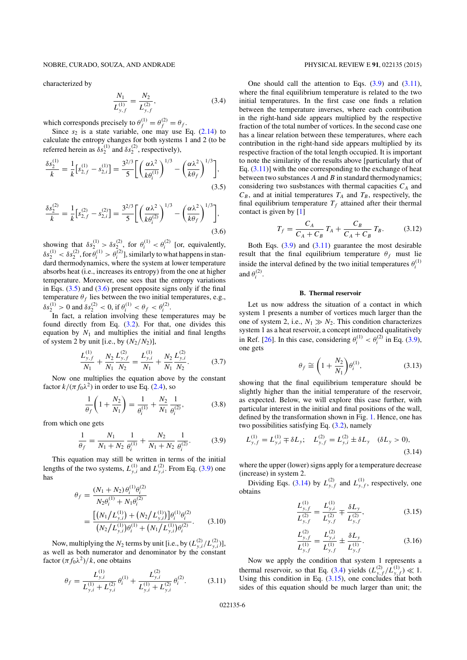## NOBRE, CURADO, SOUZA, AND ANDRADE PHYSICAL REVIEW E **91**, 022135 (2015)

characterized by

$$
\frac{N_1}{L_{y,f}^{(1)}} = \frac{N_2}{L_{y,f}^{(2)}},\tag{3.4}
$$

which corresponds precisely to  $\theta_f^{(1)} = \theta_f^{(2)} = \theta_f$ .

Since  $s_2$  is a state variable, one may use Eq. (2.14) to calculate the entropy changes for both systems 1 and 2 (to be referred herein as  $\delta s_2^{(1)}$  and  $\delta s_2^{(2)}$ , respectively),

$$
\frac{\delta s_2^{(1)}}{k} = \frac{1}{k} \left[ s_{2,f}^{(1)} - s_{2,i}^{(1)} \right] = \frac{3^{2/3}}{5} \left[ \left( \frac{\alpha \lambda^2}{k \theta_i^{(1)}} \right)^{1/3} - \left( \frac{\alpha \lambda^2}{k \theta_f} \right)^{1/3} \right],\tag{3.5}
$$

$$
\frac{\delta s_2^{(2)}}{k} = \frac{1}{k} \left[ s_{2,f}^{(2)} - s_{2,i}^{(2)} \right] = \frac{3^{2/3}}{5} \left[ \left( \frac{\alpha \lambda^2}{k \theta_i^{(2)}} \right)^{1/3} - \left( \frac{\alpha \lambda^2}{k \theta_f} \right)^{1/3} \right],\tag{3.6}
$$

showing that  $\delta s_2^{(1)} > \delta s_2^{(2)}$ , for  $\theta_i^{(1)} < \theta_i^{(2)}$  [or, equivalently,  $\delta s_2^{(1)} < \delta s_2^{(2)}$ , for  $\theta_i^{(1)} > \theta_i^{(2)}$ ], similarly to what happens in standard thermodynamics, where the system at lower temperature absorbs heat (i.e., increases its entropy) from the one at higher temperature. Moreover, one sees that the entropy variations in Eqs.  $(3.5)$  and  $(3.6)$  present opposite signs only if the final temperature  $\theta_f$  lies between the two initial temperatures, e.g.,  $\delta s_2^{(1)} > 0$  and  $\delta s_2^{(2)} < 0$ , if  $\theta_i^{(1)} < \theta_f < \theta_i^{(2)}$ .

In fact, a relation involving these temperatures may be found directly from Eq. (3.2). For that, one divides this equation by  $N_1$  and multiplies the initial and final lengths of system 2 by unit [i.e., by  $(N_2/N_2)$ ],

$$
\frac{L_{y,f}^{(1)}}{N_1} + \frac{N_2}{N_1} \frac{L_{y,f}^{(2)}}{N_2} = \frac{L_{y,i}^{(1)}}{N_1} + \frac{N_2}{N_1} \frac{L_{y,i}^{(2)}}{N_2}.
$$
 (3.7)

Now one multiplies the equation above by the constant factor  $k/(\pi f_0\lambda^2)$  in order to use Eq. (2.4), so

$$
\frac{1}{\theta_f} \left( 1 + \frac{N_2}{N_1} \right) = \frac{1}{\theta_i^{(1)}} + \frac{N_2}{N_1} \frac{1}{\theta_i^{(2)}},\tag{3.8}
$$

from which one gets

$$
\frac{1}{\theta_f} = \frac{N_1}{N_1 + N_2} \frac{1}{\theta_i^{(1)}} + \frac{N_2}{N_1 + N_2} \frac{1}{\theta_i^{(2)}}.
$$
 (3.9)

This equation may still be written in terms of the initial lengths of the two systems,  $L_{y,i}^{(1)}$  and  $L_{y,i}^{(2)}$ . From Eq. (3.9) one has

$$
\theta_f = \frac{(N_1 + N_2) \theta_i^{(1)} \theta_i^{(2)}}{N_2 \theta_i^{(1)} + N_1 \theta_i^{(2)}}
$$
  
= 
$$
\frac{\left[ (N_1 / L_{y,i}^{(1)}) + (N_2 / L_{y,i}^{(1)}) \right] \theta_i^{(1)} \theta_i^{(2)}}{(N_2 / L_{y,i}^{(1)}) \theta_i^{(1)} + (N_1 / L_{y,i}^{(1)}) \theta_i^{(2)}}.
$$
(3.10)

Now, multiplying the  $N_2$  terms by unit [i.e., by  $(L_{y,i}^{(2)}/L_{y,i}^{(2)})$ ], as well as both numerator and denominator by the constant factor  $(\pi f_0 \lambda^2)/k$ , one obtains

$$
\theta_f = \frac{L_{y,i}^{(1)}}{L_{y,i}^{(1)} + L_{y,i}^{(2)}} \theta_i^{(1)} + \frac{L_{y,i}^{(2)}}{L_{y,i}^{(1)} + L_{y,i}^{(2)}} \theta_i^{(2)}.
$$
 (3.11)

One should call the attention to Eqs.  $(3.9)$  and  $(3.11)$ , where the final equilibrium temperature is related to the two initial temperatures. In the first case one finds a relation between the temperature inverses, where each contribution in the right-hand side appears multiplied by the respective fraction of the total number of vortices. In the second case one has a linear relation between these temperatures, where each contribution in the right-hand side appears multiplied by its respective fraction of the total length occupied. It is important to note the similarity of the results above [particularly that of Eq.  $(3.11)$ ] with the one corresponding to the exchange of heat between two substances  $A$  and  $B$  in standard thermodynamics; considering two susbstances with thermal capacities  $C_A$  and  $C_B$ , and at initial temperatures  $T_A$  and  $T_B$ , respectively, the final equilibrium temperature  $T_f$  attained after their thermal contact is given by [1]

$$
T_f = \frac{C_A}{C_A + C_B} T_A + \frac{C_B}{C_A + C_B} T_B.
$$
 (3.12)

Both Eqs.  $(3.9)$  and  $(3.11)$  guarantee the most desirable result that the final equilibrium temperature  $\theta_f$  must lie inside the interval defined by the two initial temperatures  $\theta_i^{(1)}$ and  $\theta_i^{(2)}$ .

#### **B. Thermal reservoir**

Let us now address the situation of a contact in which system 1 presents a number of vortices much larger than the one of system 2, i.e.,  $N_1 \gg N_2$ . This condition characterizes system 1 as a heat reservoir, a concept introduced qualitatively in Ref. [26]. In this case, considering  $\theta_i^{(1)} < \theta_i^{(2)}$  in Eq. (3.9), one gets

$$
\theta_f \cong \left(1 + \frac{N_2}{N_1}\right) \theta_i^{(1)},\tag{3.13}
$$

showing that the final equilibrium temperature should be slightly higher than the initial temperature of the reservoir, as expected. Below, we will explore this case further, with particular interest in the initial and final positions of the wall, defined by the transformation shown in Fig. 1. Hence, one has two possibilities satisfying Eq.  $(3.2)$ , namely

$$
L_{y,f}^{(1)} = L_{y,i}^{(1)} \mp \delta L_y; \quad L_{y,f}^{(2)} = L_{y,i}^{(2)} \pm \delta L_y \quad (\delta L_y > 0),
$$
\n(3.14)

where the upper (lower) signs apply for a temperature decrease (increase) in system 2.

Dividing Eqs. (3.14) by  $L_{y,f}^{(2)}$  and  $L_{y,f}^{(1)}$ , respectively, one obtains

$$
\frac{L_{y,f}^{(1)}}{L_{y,f}^{(2)}} = \frac{L_{y,i}^{(1)}}{L_{y,f}^{(2)}} \mp \frac{\delta L_y}{L_{y,f}^{(2)}},
$$
\n(3.15)

$$
\frac{L_{y,f}^{(2)}}{L_{y,f}^{(1)}} = \frac{L_{y,i}^{(2)}}{L_{y,f}^{(1)}} \pm \frac{\delta L_y}{L_{y,f}^{(1)}}.
$$
\n(3.16)

Now we apply the condition that system 1 represents a thermal reservoir, so that Eq. (3.4) yields  $(L_{y,f}^{(2)}/L_{y,f}^{(1)}) \ll 1$ . Using this condition in Eq.  $(3.15)$ , one concludes that both sides of this equation should be much larger than unit; the

022135-6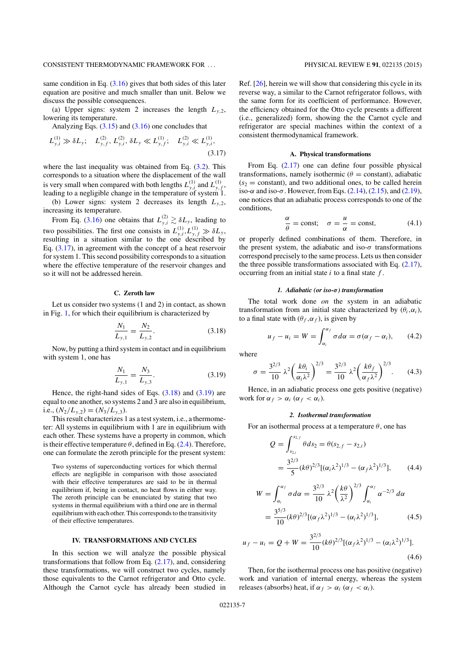same condition in Eq.  $(3.16)$  gives that both sides of this later equation are positive and much smaller than unit. Below we discuss the possible consequences.

(a) Upper signs: system 2 increases the length  $L_{v,2}$ , lowering its temperature.

Analyzing Eqs.  $(3.15)$  and  $(3.16)$  one concludes that

$$
L_{y,i}^{(1)} \gg \delta L_y; \quad L_{y,f}^{(2)}, L_{y,i}^{(2)}, \delta L_y \ll L_{y,f}^{(1)}; \quad L_{y,i}^{(2)} \ll L_{y,i}^{(1)},
$$
\n(3.17)

where the last inequality was obtained from Eq.  $(3.2)$ . This corresponds to a situation where the displacement of the wall is very small when compared with both lengths  $L_{y,i}^{(1)}$  and  $L_{y,f}^{(1)}$ , leading to a negligible change in the temperature of system 1.

(b) Lower signs: system 2 decreases its length  $L_{v,2}$ , increasing its temperature.

From Eq. (3.16) one obtains that  $L_{y,i}^{(2)} \gtrsim \delta L_y$ , leading to two possibilities. The first one consists in  $L_{y,i}^{(1)}, L_{y,f}^{(1)} \gg \delta L_y$ , resulting in a situation similar to the one described by Eq. (3.17), in agreement with the concept of a heat reservoir for system 1. This second possibility corresponds to a situation where the effective temperature of the reservoir changes and so it will not be addressed herein.

## **C. Zeroth law**

Let us consider two systems (1 and 2) in contact, as shown in Fig. 1, for which their equilibrium is characterized by

$$
\frac{N_1}{L_{y,1}} = \frac{N_2}{L_{y,2}}.\t(3.18)
$$

Now, by putting a third system in contact and in equilibrium with system 1, one has

$$
\frac{N_1}{L_{y,1}} = \frac{N_3}{L_{y,3}}.\tag{3.19}
$$

Hence, the right-hand sides of Eqs.  $(3.18)$  and  $(3.19)$  are equal to one another, so systems 2 and 3 are also in equilibrium, i.e.,  $(N_2/L_{y,2}) = (N_3/L_{y,3}).$ 

This result characterizes 1 as a test system, i.e., a thermometer: All systems in equilibrium with 1 are in equilibrium with each other. These systems have a property in common, which is their effective temperature  $\theta$ , defined in Eq. (2.4). Therefore, one can formulate the zeroth principle for the present system:

Two systems of superconducting vortices for which thermal effects are negligible in comparison with those associated with their effective temperatures are said to be in thermal equilibrium if, being in contact, no heat flows in either way. The zeroth principle can be enunciated by stating that two systems in thermal equilibrium with a third one are in thermal equilibrium with each other. This corresponds to the transitivity of their effective temperatures.

### **IV. TRANSFORMATIONS AND CYCLES**

In this section we will analyze the possible physical transformations that follow from Eq. (2.17), and, considering these transformations, we will construct two cycles, namely those equivalents to the Carnot refrigerator and Otto cycle. Although the Carnot cycle has already been studied in

Ref. [26], herein we will show that considering this cycle in its reverse way, a similar to the Carnot refrigerator follows, with the same form for its coefficient of performance. However, the efficiency obtained for the Otto cycle presents a different (i.e., generalized) form, showing the the Carnot cycle and refrigerator are special machines within the context of a consistent thermodynamical framework.

#### **A. Physical transformations**

From Eq. (2.17) one can define four possible physical transformations, namely isothermic ( $\theta$  = constant), adiabatic  $(s<sub>2</sub> = constant)$ , and two additional ones, to be called herein iso- $\alpha$  and iso- $\sigma$ . However, from Eqs. (2.14), (2.15), and (2.19), one notices that an adiabatic process corresponds to one of the conditions,

$$
\frac{\alpha}{\theta} = \text{const}; \quad \sigma = \frac{u}{\alpha} = \text{const}, \tag{4.1}
$$

or properly defined combinations of them. Therefore, in the present system, the adiabatic and iso- $\sigma$  transformations correspond precisely to the same process. Lets us then consider the three possible transformations associated with Eq.  $(2.17)$ , occurring from an initial state  $i$  to a final state  $f$ .

### *1. Adiabatic (or iso-*σ*) transformation*

The total work done *on* the system in an adiabatic transformation from an initial state characterized by  $(\theta_i, \alpha_i)$ , to a final state with  $(\theta_f, \alpha_f)$ , is given by

$$
u_f - u_i = W = \int_{\alpha_i}^{\alpha_f} \sigma d\alpha = \sigma(\alpha_f - \alpha_i), \qquad (4.2)
$$

where

$$
\sigma = \frac{3^{2/3}}{10} \lambda^2 \left(\frac{k\theta_i}{\alpha_i \lambda^2}\right)^{2/3} = \frac{3^{2/3}}{10} \lambda^2 \left(\frac{k\theta_f}{\alpha_f \lambda^2}\right)^{2/3}.
$$
 (4.3)

Hence, in an adiabatic process one gets positive (negative) work for  $\alpha_f > \alpha_i$  ( $\alpha_f < \alpha_i$ ).

#### *2. Isothermal transformation*

For an isothermal process at a temperature  $\theta$ , one has

$$
Q = \int_{s_{2,i}}^{s_{2,f}} \theta ds_2 = \theta(s_{2,f} - s_{2,i})
$$
  
= 
$$
\frac{3^{2/3}}{5} (k\theta)^{2/3} [(\alpha_i \lambda^2)^{1/3} - (\alpha_f \lambda^2)^{1/3}],
$$
 (4.4)

$$
W = \int_{\alpha_i}^{\alpha_f} \sigma d\alpha = \frac{3^{2/3}}{10} \lambda^2 \left(\frac{k\theta}{\lambda^2}\right)^{2/3} \int_{\alpha_i}^{\alpha_f} \alpha^{-2/3} d\alpha
$$
  
= 
$$
\frac{3^{5/3}}{10} (k\theta)^{2/3} [(\alpha_f \lambda^2)^{1/3} - (\alpha_i \lambda^2)^{1/3}],
$$
(4.5)

$$
u_f - u_i = Q + W = \frac{3^{2/3}}{10} (k\theta)^{2/3} [(\alpha_f \lambda^2)^{1/3} - (\alpha_i \lambda^2)^{1/3}].
$$
\n(4.6)

Then, for the isothermal process one has positive (negative) work and variation of internal energy, whereas the system releases (absorbs) heat, if  $\alpha_f > \alpha_i$  ( $\alpha_f < \alpha_i$ ).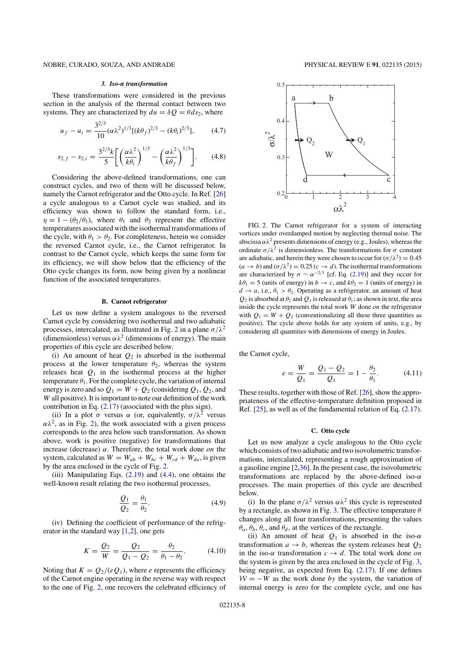## NOBRE, CURADO, SOUZA, AND ANDRADE PHYSICAL REVIEW E **91**, 022135 (2015)

#### *3. Iso-*α *transformation*

These transformations were considered in the previous section in the analysis of the thermal contact between two systems. They are characterized by  $du = \delta Q = \theta ds_2$ , where

$$
u_f - u_i = \frac{3^{2/3}}{10} (\alpha \lambda^2)^{1/3} [(k \theta_f)^{2/3} - (k \theta_i)^{2/3}], \quad (4.7)
$$

$$
s_{2,f} - s_{2,i} = \frac{3^{2/3}k}{5} \bigg[ \left( \frac{\alpha \lambda^2}{k \theta_i} \right)^{1/3} - \left( \frac{\alpha \lambda^2}{k \theta_f} \right)^{1/3} \bigg].
$$
 (4.8)

Considering the above-defined transformations, one can construct cycles, and two of them will be discussed below, namely the Carnot refrigerator and the Otto cycle. In Ref. [26] a cycle analogous to a Carnot cycle was studied, and its efficiency was shown to follow the standard form, i.e.,  $\eta = 1 - (\theta_2/\theta_1)$ , where  $\theta_1$  and  $\theta_2$  represent the effective temperatures associated with the isothermal transformations of the cycle, with  $\theta_1 > \theta_2$ . For completeness, herein we consider the reversed Carnot cycle, i.e., the Carnot refrigerator. In contrast to the Carnot cycle, which keeps the same form for its efficiency, we will show below that the efficiency of the Otto cycle changes its form, now being given by a nonlinear function of the associated temperatures.

### **B. Carnot refrigerator**

Let us now define a system analogous to the reversed Carnot cycle by considering two isothermal and two adiabatic processes, intercalated, as illustrated in Fig. 2 in a plane  $\sigma/\lambda^2$ (dimensionless) versus  $\alpha \lambda^2$  (dimensions of energy). The main properties of this cycle are described below.

(i) An amount of heat  $Q_2$  is absorbed in the isothermal process at the lower temperature  $\theta_2$ , whereas the system releases heat  $Q_1$  in the isothermal process at the higher temperature  $\theta_1$ . For the complete cycle, the variation of internal energy is zero and so  $Q_1 = W + Q_2$  (considering  $Q_1, Q_2$ , and W all positive). It is important to note our definition of the work contribution in Eq. (2.17) (associated with the plus sign).

(ii) In a plot  $\sigma$  versus  $\alpha$  (or, equivalently,  $\sigma/\lambda^2$  versus  $\alpha\lambda^2$ , as in Fig. 2), the work associated with a given process corresponds to the area below such transformation. As shown above, work is positive (negative) for transformations that increase (decrease)  $\alpha$ . Therefore, the total work done on the system, calculated as  $W = W_{ab} + W_{bc} + W_{cd} + W_{da}$ , is given by the area enclosed in the cycle of Fig. 2.

(iii) Manipulating Eqs.  $(2.19)$  and  $(4.4)$ , one obtains the well-known result relating the two isothermal processes,

$$
\frac{Q_1}{Q_2} = \frac{\theta_1}{\theta_2}.\tag{4.9}
$$

(iv) Defining the coefficient of performance of the refrigerator in the standard way [1,2], one gets

$$
K = \frac{Q_2}{W} = \frac{Q_2}{Q_1 - Q_2} = \frac{\theta_2}{\theta_1 - \theta_2}.
$$
 (4.10)

Noting that  $K = Q_2/(eQ_1)$ , where *e* represents the efficiency of the Carnot engine operating in the reverse way with respect to the one of Fig. 2, one recovers the celebrated efficiency of



FIG. 2. The Carnot refrigerator for a system of interacting vortices under overdamped motion by neglecting thermal noise. The abscissa  $\alpha \lambda^2$  presents dimensions of energy (e.g., Joules), whereas the ordinate  $\sigma/\lambda^2$  is dimensionless. The transformations for  $\sigma$  constant are adiabatic, and herein they were chosen to occur for  $(\sigma/\lambda^2) = 0.45$  $(a \to b)$  and  $(\sigma/\lambda^2) = 0.25$   $(c \to d)$ . The isothermal transformations are characterized by  $\sigma \sim \alpha^{-2/3}$  [cf. Eq. (2.19)] and they occur for  $k\theta_1 = 5$  (units of energy) in  $b \to c$ , and  $k\theta_2 = 1$  (units of energy) in  $d \rightarrow a$ , i.e.,  $\theta_1 > \theta_2$ . Operating as a refrigerator, an amount of heat  $Q_2$  is absorbed at  $\theta_2$  and  $Q_1$  is released at  $\theta_1$ ; as shown in text, the area inside the cycle represents the total work W done on the refrigerator with  $Q_1 = W + Q_2$  (conventionalizing all these three quantities as positive). The cycle above holds for any system of units, e.g., by considering all quantities with dimensions of energy in Joules.

the Carnot cycle,

$$
e = \frac{W}{Q_1} = \frac{Q_1 - Q_2}{Q_1} = 1 - \frac{\theta_2}{\theta_1}.
$$
 (4.11)

These results, together with those of Ref. [26], show the appropriateness of the effective-temperature definition proposed in Ref. [25], as well as of the fundamental relation of Eq. (2.17).

#### **C. Otto cycle**

Let us now analyze a cycle analogous to the Otto cycle which consists of two adiabatic and two isovolumetric transformations, intercalated, representing a rough approximation of a gasoline engine [2,36]. In the present case, the isovolumetric transformations are replaced by the above-defined iso- $\alpha$ processes. The main properties of this cycle are described below.

(i) In the plane  $\sigma/\lambda^2$  versus  $\alpha\lambda^2$  this cycle is represented by a rectangle, as shown in Fig. 3. The effective temperature  $\theta$ changes along all four transformations, presenting the values  $\theta_a$ ,  $\theta_b$ ,  $\theta_c$ , and  $\theta_d$ , at the vertices of the rectangle.

(ii) An amount of heat  $Q_1$  is absorbed in the iso- $\alpha$ transformation  $a \rightarrow b$ , whereas the system releases heat  $Q_2$ in the iso- $\alpha$  transformation  $c \rightarrow d$ . The total work done on the system is given by the area enclosed in the cycle of Fig. 3, being negative, as expected from Eq. (2.17). If one defines  $W = -W$  as the work done by the system, the variation of internal energy is zero for the complete cycle, and one has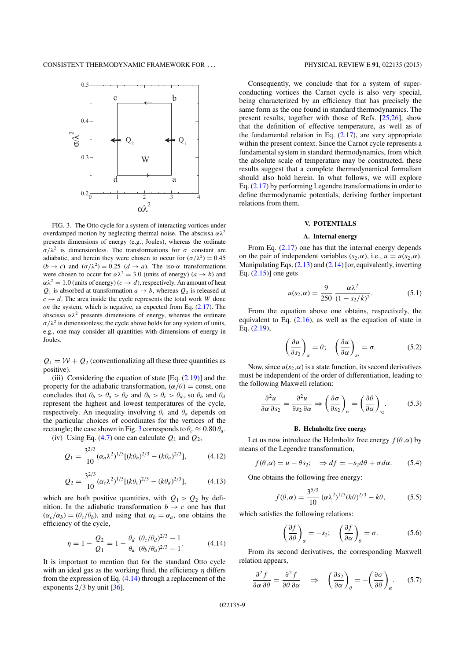

FIG. 3. The Otto cycle for a system of interacting vortices under overdamped motion by neglecting thermal noise. The abscissa  $\alpha \lambda^2$ presents dimensions of energy (e.g., Joules), whereas the ordinate σ/λ<sup>2</sup> is dimensionless. The transformations for σ constant are adiabatic, and herein they were chosen to occur for  $(\sigma/\lambda^2) = 0.45$  $(b \rightarrow c)$  and  $(\sigma/\lambda^2) = 0.25$   $(d \rightarrow a)$ . The iso- $\alpha$  transformations were chosen to occur for  $\alpha \lambda^2 = 3.0$  (units of energy)  $(a \rightarrow b)$  and  $\alpha \lambda^2 = 1.0$  (units of energy)  $(c \to d)$ , respectively. An amount of heat  $Q_1$  is absorbed at transformation  $a \rightarrow b$ , whereas  $Q_2$  is released at  $c \rightarrow d$ . The area inside the cycle represents the total work W done on the system, which is negative, as expected from Eq.  $(2.17)$ . The abscissa  $\alpha \lambda^2$  presents dimensions of energy, whereas the ordinate  $\sigma/\lambda^2$  is dimensionless; the cycle above holds for any system of units, e.g., one may consider all quantities with dimensions of energy in Joules.

 $Q_1 = W + Q_2$  (conventionalizing all these three quantities as positive).

(iii) Considering the equation of state  $[Eq. (2.19)]$  and the property for the adiabatic transformation,  $(\alpha/\theta) = \text{const}$ , one concludes that  $\theta_b > \theta_a > \theta_d$  and  $\theta_b > \theta_c > \theta_d$ , so  $\theta_b$  and  $\theta_d$ represent the highest and lowest temperatures of the cycle, respectively. An inequality involving  $\theta_c$  and  $\theta_a$  depends on the particular choices of coordinates for the vertices of the rectangle; the case shown in Fig. 3 corresponds to  $\theta_c \approx 0.80 \theta_a$ .

(iv) Using Eq. (4.7) one can calculate  $Q_1$  and  $Q_2$ ,

$$
Q_1 = \frac{3^{2/3}}{10} (\alpha_a \lambda^2)^{1/3} [(k\theta_b)^{2/3} - (k\theta_a)^{2/3}], \tag{4.12}
$$

$$
Q_2 = \frac{3^{2/3}}{10} (\alpha_c \lambda^2)^{1/3} [ (k \theta_c)^{2/3} - (k \theta_d)^{2/3} ], \tag{4.13}
$$

which are both positive quantities, with  $Q_1 > Q_2$  by definition. In the adiabatic transformation  $b \rightarrow c$  one has that  $(\alpha_c/\alpha_b) = (\theta_c/\theta_b)$ , and using that  $\alpha_b = \alpha_a$ , one obtains the efficiency of the cycle,

$$
\eta = 1 - \frac{Q_2}{Q_1} = 1 - \frac{\theta_d}{\theta_a} \frac{(\theta_c/\theta_d)^{2/3} - 1}{(\theta_b/\theta_a)^{2/3} - 1}.
$$
 (4.14)

It is important to mention that for the standard Otto cycle with an ideal gas as the working fluid, the efficiency  $\eta$  differs from the expression of Eq. (4.14) through a replacement of the exponents  $2/3$  by unit  $\left[36\right]$ .

Consequently, we conclude that for a system of superconducting vortices the Carnot cycle is also very special, being characterized by an efficiency that has precisely the same form as the one found in standard thermodynamics. The present results, together with those of Refs. [25,26], show that the definition of effective temperature, as well as of the fundamental relation in Eq.  $(2.17)$ , are very appropriate within the present context. Since the Carnot cycle represents a fundamental system in standard thermodynamics, from which the absolute scale of temperature may be constructed, these results suggest that a complete thermodynamical formalism should also hold herein. In what follows, we will explore Eq. (2.17) by performing Legendre transformations in order to define thermodynamic potentials, deriving further important relations from them.

# **V. POTENTIALS**

## **A. Internal energy**

From Eq. (2.17) one has that the internal energy depends on the pair of independent variables  $(s_2, \alpha)$ , i.e.,  $u = u(s_2, \alpha)$ . Manipulating Eqs.  $(2.13)$  and  $(2.14)$  [or, equivalently, inverting Eq. (2.15)] one gets

$$
u(s_2, \alpha) = \frac{9}{250} \frac{\alpha \lambda^2}{(1 - s_2/k)^2}.
$$
 (5.1)

From the equation above one obtains, respectively, the equivalent to Eq.  $(2.16)$ , as well as the equation of state in Eq. (2.19),

$$
\left(\frac{\partial u}{\partial s_2}\right)_{\alpha} = \theta; \quad \left(\frac{\partial u}{\partial \alpha}\right)_{s_2} = \sigma. \tag{5.2}
$$

Now, since  $u(s_2, \alpha)$  is a state function, its second derivatives must be independent of the order of differentiation, leading to the following Maxwell relation:

$$
\frac{\partial^2 u}{\partial \alpha \partial s_2} = \frac{\partial^2 u}{\partial s_2 \partial \alpha} \Rightarrow \left(\frac{\partial \sigma}{\partial s_2}\right)_{\alpha} = \left(\frac{\partial \theta}{\partial \alpha}\right)_{s_2}.
$$
 (5.3)

#### **B. Helmholtz free energy**

Let us now introduce the Helmholtz free energy  $f(\theta, \alpha)$  by means of the Legendre transformation,

$$
f(\theta,\alpha) = u - \theta s_2; \quad \Rightarrow df = -s_2 d\theta + \sigma d\alpha. \tag{5.4}
$$

One obtains the following free energy:

$$
f(\theta,\alpha) = \frac{3^{5/3}}{10} (\alpha \lambda^2)^{1/3} (k\theta)^{2/3} - k\theta, \tag{5.5}
$$

which satisfies the following relations:

$$
\left(\frac{\partial f}{\partial \theta}\right)_{\alpha} = -s_2; \quad \left(\frac{\partial f}{\partial \alpha}\right)_{\theta} = \sigma.
$$
 (5.6)

From its second derivatives, the corresponding Maxwell relation appears,

$$
\frac{\partial^2 f}{\partial \alpha \, \partial \theta} = \frac{\partial^2 f}{\partial \theta \, \partial \alpha} \quad \Rightarrow \quad \left(\frac{\partial s_2}{\partial \alpha}\right)_{\theta} = -\left(\frac{\partial \sigma}{\partial \theta}\right)_{\alpha}.\tag{5.7}
$$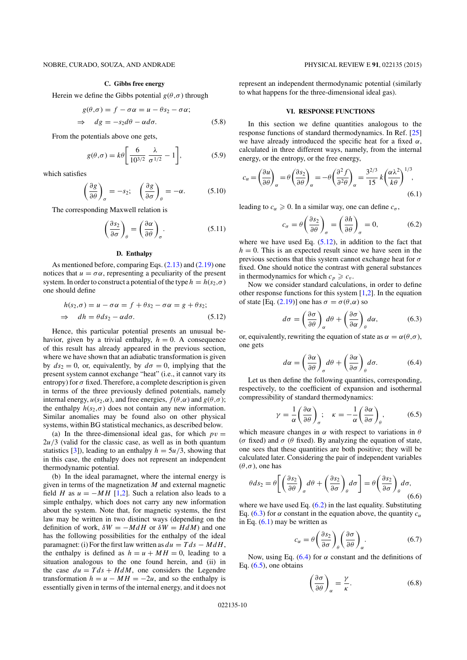# **C. Gibbs free energy**

Herein we define the Gibbs potential  $g(\theta, \sigma)$  through

$$
g(\theta, \sigma) = f - \sigma \alpha = u - \theta s_2 - \sigma \alpha;
$$
  
\n
$$
\Rightarrow dg = -s_2 d\theta - \alpha d\sigma.
$$
 (5.8)

From the potentials above one gets,

$$
g(\theta,\sigma) = k\theta \left[\frac{6}{10^{3/2}} \frac{\lambda}{\sigma^{1/2}} - 1\right],\tag{5.9}
$$

which satisfies

$$
\left(\frac{\partial g}{\partial \theta}\right)_{\sigma} = -s_2; \quad \left(\frac{\partial g}{\partial \sigma}\right)_{\theta} = -\alpha. \quad (5.10)
$$

The corresponding Maxwell relation is

$$
\left(\frac{\partial s_2}{\partial \sigma}\right)_{\theta} = \left(\frac{\partial \alpha}{\partial \theta}\right)_{\sigma}.
$$
 (5.11)

## **D. Enthalpy**

As mentioned before, comparing Eqs. (2.13) and (2.19) one notices that  $u = \sigma \alpha$ , representing a peculiarity of the present system. In order to construct a potential of the type  $h = h(s_2, \sigma)$ one should define

$$
h(s_2, \sigma) = u - \sigma \alpha = f + \theta s_2 - \sigma \alpha = g + \theta s_2;
$$
  
\n
$$
\Rightarrow dh = \theta ds_2 - \alpha d\sigma.
$$
 (5.12)

Hence, this particular potential presents an unusual behavior, given by a trivial enthalpy,  $h = 0$ . A consequence of this result has already appeared in the previous section, where we have shown that an adiabatic transformation is given by  $ds_2 = 0$ , or, equivalently, by  $d\sigma = 0$ , implying that the present system cannot exchange "heat" (i.e., it cannot vary its entropy) for  $\sigma$  fixed. Therefore, a complete description is given in terms of the three previously defined potentials, namely internal energy,  $u(s_2, \alpha)$ , and free energies,  $f(\theta, \alpha)$  and  $g(\theta, \sigma)$ ; the enthalpy  $h(s_2, \sigma)$  does not contain any new information. Similar anomalies may be found also on other physical systems, within BG statistical mechanics, as described below.

(a) In the three-dimensional ideal gas, for which  $pv =$  $2u/3$  (valid for the classic case, as well as in both quantum statistics [3]), leading to an enthalpy  $h = 5u/3$ , showing that in this case, the enthalpy does not represent an independent thermodynamic potential.

(b) In the ideal paramagnet, where the internal energy is given in terms of the magnetization  $M$  and external magnetic field H as  $u = -MH$  [1,2]. Such a relation also leads to a simple enthalpy, which does not carry any new information about the system. Note that, for magnetic systems, the first law may be written in two distinct ways (depending on the definition of work,  $\delta W = -MdH$  or  $\delta W = HdM$ ) and one has the following possibilities for the enthalpy of the ideal paramagnet: (i) For the first law written as  $du = T ds - M dH$ , the enthalpy is defined as  $h = u + MH = 0$ , leading to a situation analogous to the one found herein, and (ii) in the case  $du = T ds + H dM$ , one considers the Legendre transformation  $h = u - MH = -2u$ , and so the enthalpy is essentially given in terms of the internal energy, and it does not

represent an independent thermodynamic potential (similarly to what happens for the three-dimensional ideal gas).

## **VI. RESPONSE FUNCTIONS**

In this section we define quantities analogous to the response functions of standard thermodynamics. In Ref. [25] we have already introduced the specific heat for a fixed  $\alpha$ , calculated in three different ways, namely, from the internal energy, or the entropy, or the free energy,

$$
c_{\alpha} = \left(\frac{\partial u}{\partial \theta}\right)_{\alpha} = \theta \left(\frac{\partial s_2}{\partial \theta}\right)_{\alpha} = -\theta \left(\frac{\partial^2 f}{\partial^2 \theta}\right)_{\alpha} = \frac{3^{2/3}}{15} k \left(\frac{\alpha \lambda^2}{k \theta}\right)^{1/3},\tag{6.1}
$$

leading to  $c_{\alpha} \geqslant 0$ . In a similar way, one can define  $c_{\sigma}$ ,

$$
c_{\sigma} = \theta \left(\frac{\partial s_2}{\partial \theta}\right)_{\sigma} = \left(\frac{\partial h}{\partial \theta}\right)_{\sigma} = 0, \tag{6.2}
$$

where we have used Eq.  $(5.12)$ , in addition to the fact that  $h = 0$ . This is an expected result since we have seen in the previous sections that this system cannot exchange heat for  $\sigma$ fixed. One should notice the contrast with general substances in thermodynamics for which  $c_p \geq c_v$ .

Now we consider standard calculations, in order to define other response functions for this system  $[1,2]$ . In the equation of state [Eq. (2.19)] one has  $\sigma = \sigma(\theta, \alpha)$  so

 $\overline{a}$ 

$$
d\sigma = \left(\frac{\partial \sigma}{\partial \theta}\right)_{\alpha} d\theta + \left(\frac{\partial \sigma}{\partial \alpha}\right)_{\theta} d\alpha, \tag{6.3}
$$

or, equivalently, rewriting the equation of state as  $\alpha = \alpha(\theta, \sigma)$ , one gets

$$
d\alpha = \left(\frac{\partial \alpha}{\partial \theta}\right)_{\sigma} d\theta + \left(\frac{\partial \alpha}{\partial \sigma}\right)_{\theta} d\sigma. \tag{6.4}
$$

Let us then define the following quantities, corresponding, respectively, to the coefficient of expansion and isothermal compressibility of standard thermodynamics:

$$
\gamma = \frac{1}{\alpha} \left( \frac{\partial \alpha}{\partial \theta} \right)_{\sigma}; \quad \kappa = -\frac{1}{\alpha} \left( \frac{\partial \alpha}{\partial \sigma} \right)_{\theta}, \quad (6.5)
$$

which measure changes in  $\alpha$  with respect to variations in  $\theta$ ( $\sigma$  fixed) and  $\sigma$  ( $\theta$  fixed). By analyzing the equation of state, one sees that these quantities are both positive; they will be calculated later. Considering the pair of independent variables  $(\theta, \sigma)$ , one has

$$
\theta ds_2 = \theta \left[ \left( \frac{\partial s_2}{\partial \theta} \right)_\sigma d\theta + \left( \frac{\partial s_2}{\partial \sigma} \right)_\theta d\sigma \right] = \theta \left( \frac{\partial s_2}{\partial \sigma} \right)_\theta d\sigma, \tag{6.6}
$$

where we have used Eq.  $(6.2)$  in the last equality. Substituting Eq. (6.3) for  $\alpha$  constant in the equation above, the quantity  $c_{\alpha}$ in Eq.  $(6.1)$  may be written as

$$
c_{\alpha} = \theta \left(\frac{\partial s_2}{\partial \sigma} \right)_{\theta} \left(\frac{\partial \sigma}{\partial \theta} \right)_{\alpha}.
$$
 (6.7)

Now, using Eq. (6.4) for  $\alpha$  constant and the definitions of Eq.  $(6.5)$ , one obtains

$$
\left(\frac{\partial \sigma}{\partial \theta}\right)_{\alpha} = \frac{\gamma}{\kappa}.\tag{6.8}
$$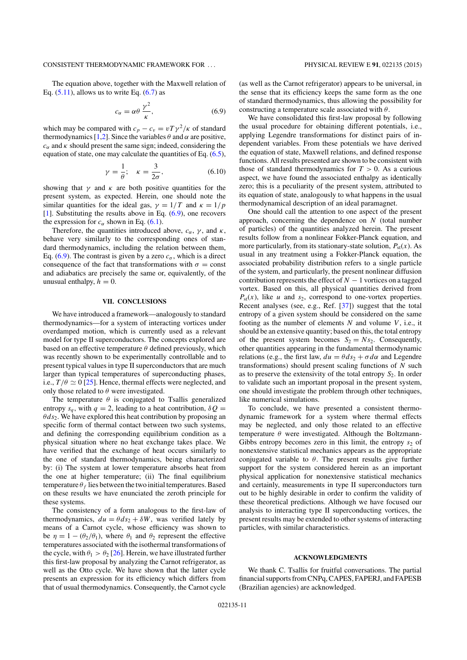## CONSISTENT THERMODYNAMIC FRAMEWORK FOR . . . PHYSICAL REVIEW E **91**, 022135 (2015)

The equation above, together with the Maxwell relation of Eq.  $(5.11)$ , allows us to write Eq.  $(6.7)$  as

$$
c_{\alpha} = \alpha \theta \frac{\gamma^2}{\kappa},\tag{6.9}
$$

which may be compared with  $c_p - c_v = vT\gamma^2/\kappa$  of standard thermodynamics [1,2]. Since the variables  $\theta$  and  $\alpha$  are positive,  $c_{\alpha}$  and  $\kappa$  should present the same sign; indeed, considering the equation of state, one may calculate the quantities of Eq. (6.5),

$$
\gamma = \frac{1}{\theta}; \quad \kappa = \frac{3}{2\sigma}, \tag{6.10}
$$

showing that  $\gamma$  and  $\kappa$  are both positive quantities for the present system, as expected. Herein, one should note the similar quantities for the ideal gas,  $\gamma = 1/T$  and  $\kappa = 1/p$ [1]. Substituting the results above in Eq.  $(6.9)$ , one recovers the expression for  $c_{\alpha}$  shown in Eq. (6.1).

Therefore, the quantities introduced above,  $c_{\alpha}$ ,  $\gamma$ , and  $\kappa$ , behave very similarly to the corresponding ones of standard thermodynamics, including the relation between them, Eq. (6.9). The contrast is given by a zero  $c_{\sigma}$ , which is a direct consequence of the fact that transformations with  $\sigma = \text{const}$ and adiabatics are precisely the same or, equivalently, of the unusual enthalpy,  $h = 0$ .

## **VII. CONCLUSIONS**

We have introduced a framework—analogously to standard thermodynamics—for a system of interacting vortices under overdamped motion, which is currently used as a relevant model for type II superconductors. The concepts explored are based on an effective temperature  $\theta$  defined previously, which was recently shown to be experimentally controllable and to present typical values in type II superconductors that are much larger than typical temperatures of superconducting phases, i.e.,  $T/\theta \simeq 0$  [25]. Hence, thermal effects were neglected, and only those related to  $\theta$  were investigated.

The temperature  $\theta$  is conjugated to Tsallis generalized entropy  $s_a$ , with  $q = 2$ , leading to a heat contribution,  $\delta Q =$  $\theta ds_2$ . We have explored this heat contribution by proposing an specific form of thermal contact between two such systems, and defining the corresponding equilibrium condition as a physical situation where no heat exchange takes place. We have verified that the exchange of heat occurs similarly to the one of standard thermodynamics, being characterized by: (i) The system at lower temperature absorbs heat from the one at higher temperature; (ii) The final equilibrium temperature  $\theta_f$  lies between the two initial temperatures. Based on these results we have enunciated the zeroth principle for these systems.

The consistency of a form analogous to the first-law of thermodynamics,  $du = \theta ds_2 + \delta W$ , was verified lately by means of a Carnot cycle, whose efficiency was shown to be  $\eta = 1 - (\theta_2/\theta_1)$ , where  $\theta_1$  and  $\theta_2$  represent the effective temperatures associated with the isothermal transformations of the cycle, with  $\theta_1 > \theta_2$  [26]. Herein, we have illustrated further this first-law proposal by analyzing the Carnot refrigerator, as well as the Otto cycle. We have shown that the latter cycle presents an expression for its efficiency which differs from that of usual thermodynamics. Consequently, the Carnot cycle

(as well as the Carnot refrigerator) appears to be universal, in the sense that its efficiency keeps the same form as the one of standard thermodynamics, thus allowing the possibility for constructing a temperature scale associated with  $\theta$ .

We have consolidated this first-law proposal by following the usual procedure for obtaining different potentials, i.e., applying Legendre transformations for distinct pairs of independent variables. From these potentials we have derived the equation of state, Maxwell relations, and defined response functions. All results presented are shown to be consistent with those of standard thermodynamics for  $T > 0$ . As a curious aspect, we have found the associated enthalpy as identically zero; this is a peculiarity of the present system, attributed to its equation of state, analogously to what happens in the usual thermodynamical description of an ideal paramagnet.

One should call the attention to one aspect of the present approach, concerning the dependence on  $N$  (total number of particles) of the quantities analyzed herein. The present results follow from a nonlinear Fokker-Planck equation, and more particularly, from its stationary-state solution,  $P_{st}(x)$ . As usual in any treatment using a Fokker-Planck equation, the associated probability distribution refers to a single particle of the system, and particularly, the present nonlinear diffusion contribution represents the effect of  $N - 1$  vortices on a tagged vortex. Based on this, all physical quantities derived from  $P_{\text{st}}(x)$ , like *u* and *s*<sub>2</sub>, correspond to one-vortex properties. Recent analyses (see, e.g., Ref. [37]) suggest that the total entropy of a given system should be considered on the same footing as the number of elements  $N$  and volume  $V$ , i.e., it should be an extensive quantity; based on this, the total entropy of the present system becomes  $S_2 = N s_2$ . Consequently, other quantities appearing in the fundamental thermodynamic relations (e.g., the first law,  $du = \theta ds_2 + \sigma d\alpha$  and Legendre transformations) should present scaling functions of  $N$  such as to preserve the extensivity of the total entropy  $S_2$ . In order to validate such an important proposal in the present system, one should investigate the problem through other techniques, like numerical simulations.

To conclude, we have presented a consistent thermodynamic framework for a system where thermal effects may be neglected, and only those related to an effective temperature  $\theta$  were investigated. Although the Boltzmann-Gibbs entropy becomes zero in this limit, the entropy  $s<sub>2</sub>$  of nonextensive statistical mechanics appears as the appropriate conjugated variable to  $\theta$ . The present results give further support for the system considered herein as an important physical application for nonextensive statistical mechanics and certainly, measurements in type II superconductors turn out to be highly desirable in order to confirm the validity of these theoretical predictions. Although we have focused our analysis to interacting type II superconducting vortices, the present results may be extended to other systems of interacting particles, with similar characteristics.

### **ACKNOWLEDGMENTS**

We thank C. Tsallis for fruitful conversations. The partial financial supports from CNPq, CAPES, FAPERJ, and FAPESB (Brazilian agencies) are acknowledged.